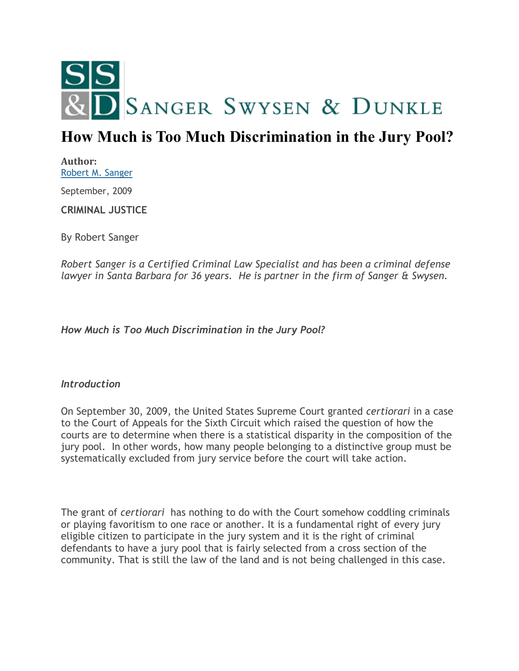

# **How Much is Too Much Discrimination in the Jury Pool?**

**Author:** [Robert M. Sanger](http://sangerswysen.com/robert-m-sanger) September, 2009 **CRIMINAL JUSTICE**

By Robert Sanger

*Robert Sanger is a Certified Criminal Law Specialist and has been a criminal defense lawyer in Santa Barbara for 36 years. He is partner in the firm of Sanger & Swysen.*

*How Much is Too Much Discrimination in the Jury Pool?*

#### *Introduction*

On September 30, 2009, the United States Supreme Court granted *certiorari* in a case to the Court of Appeals for the Sixth Circuit which raised the question of how the courts are to determine when there is a statistical disparity in the composition of the jury pool. In other words, how many people belonging to a distinctive group must be systematically excluded from jury service before the court will take action.

The grant of *certiorari* has nothing to do with the Court somehow coddling criminals or playing favoritism to one race or another. It is a fundamental right of every jury eligible citizen to participate in the jury system and it is the right of criminal defendants to have a jury pool that is fairly selected from a cross section of the community. That is still the law of the land and is not being challenged in this case.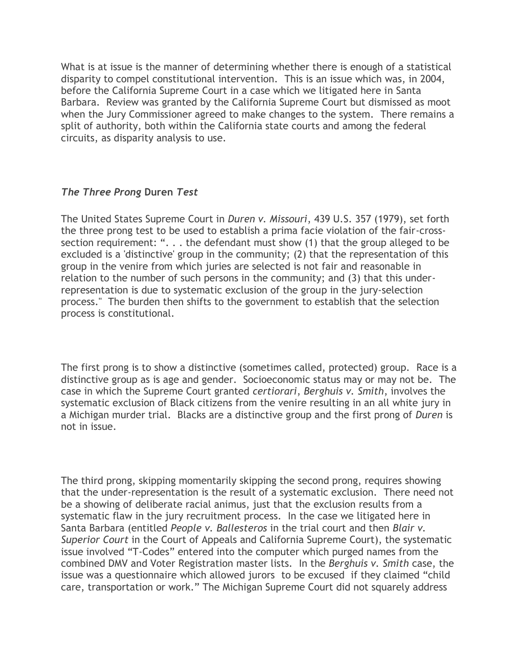What is at issue is the manner of determining whether there is enough of a statistical disparity to compel constitutional intervention. This is an issue which was, in 2004, before the California Supreme Court in a case which we litigated here in Santa Barbara. Review was granted by the California Supreme Court but dismissed as moot when the Jury Commissioner agreed to make changes to the system. There remains a split of authority, both within the California state courts and among the federal circuits, as disparity analysis to use.

## *The Three Prong* **Duren** *Test*

The United States Supreme Court in *Duren v. Missouri*, 439 U.S. 357 (1979), set forth the three prong test to be used to establish a prima facie violation of the fair-crosssection requirement: ". . . the defendant must show (1) that the group alleged to be excluded is a 'distinctive' group in the community; (2) that the representation of this group in the venire from which juries are selected is not fair and reasonable in relation to the number of such persons in the community; and (3) that this underrepresentation is due to systematic exclusion of the group in the jury-selection process." The burden then shifts to the government to establish that the selection process is constitutional.

The first prong is to show a distinctive (sometimes called, protected) group. Race is a distinctive group as is age and gender. Socioeconomic status may or may not be. The case in which the Supreme Court granted *certiorari*, *Berghuis v. Smith*, involves the systematic exclusion of Black citizens from the venire resulting in an all white jury in a Michigan murder trial. Blacks are a distinctive group and the first prong of *Duren* is not in issue.

The third prong, skipping momentarily skipping the second prong, requires showing that the under-representation is the result of a systematic exclusion. There need not be a showing of deliberate racial animus, just that the exclusion results from a systematic flaw in the jury recruitment process. In the case we litigated here in Santa Barbara (entitled *People v. Ballesteros* in the trial court and then *Blair v. Superior Court* in the Court of Appeals and California Supreme Court), the systematic issue involved "T-Codes" entered into the computer which purged names from the combined DMV and Voter Registration master lists. In the *Berghuis v. Smith* case, the issue was a questionnaire which allowed jurors to be excused if they claimed "child care, transportation or work." The Michigan Supreme Court did not squarely address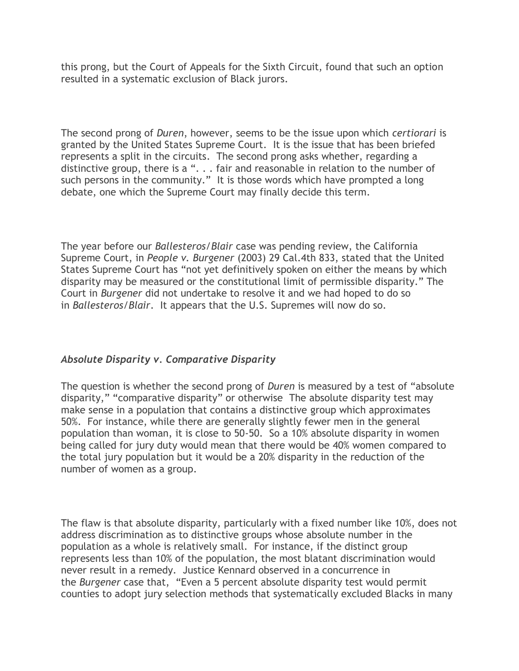this prong, but the Court of Appeals for the Sixth Circuit, found that such an option resulted in a systematic exclusion of Black jurors.

The second prong of *Duren*, however, seems to be the issue upon which *certiorari* is granted by the United States Supreme Court. It is the issue that has been briefed represents a split in the circuits. The second prong asks whether, regarding a distinctive group, there is a ". . . fair and reasonable in relation to the number of such persons in the community." It is those words which have prompted a long debate, one which the Supreme Court may finally decide this term.

The year before our *Ballesteros/Blair* case was pending review, the California Supreme Court, in *People v. Burgener* (2003) 29 Cal.4th 833, stated that the United States Supreme Court has "not yet definitively spoken on either the means by which disparity may be measured or the constitutional limit of permissible disparity." The Court in *Burgener* did not undertake to resolve it and we had hoped to do so in *Ballesteros/Blair*. It appears that the U.S. Supremes will now do so.

## *Absolute Disparity v. Comparative Disparity*

The question is whether the second prong of *Duren* is measured by a test of "absolute disparity," "comparative disparity" or otherwise The absolute disparity test may make sense in a population that contains a distinctive group which approximates 50%. For instance, while there are generally slightly fewer men in the general population than woman, it is close to 50-50. So a 10% absolute disparity in women being called for jury duty would mean that there would be 40% women compared to the total jury population but it would be a 20% disparity in the reduction of the number of women as a group.

The flaw is that absolute disparity, particularly with a fixed number like 10%, does not address discrimination as to distinctive groups whose absolute number in the population as a whole is relatively small. For instance, if the distinct group represents less than 10% of the population, the most blatant discrimination would never result in a remedy. Justice Kennard observed in a concurrence in the *Burgener* case that, "Even a 5 percent absolute disparity test would permit counties to adopt jury selection methods that systematically excluded Blacks in many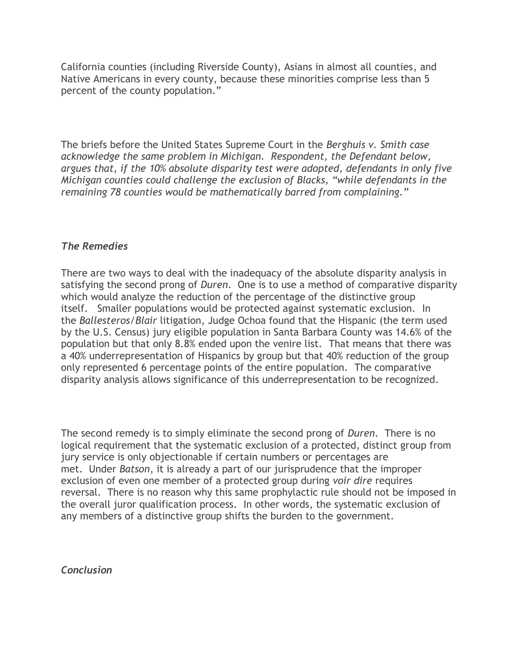California counties (including Riverside County), Asians in almost all counties, and Native Americans in every county, because these minorities comprise less than 5 percent of the county population."

The briefs before the United States Supreme Court in the *Berghuis v. Smith case acknowledge the same problem in Michigan. Respondent, the Defendant below, argues that, if the 10% absolute disparity test were adopted, defendants in only five Michigan counties could challenge the exclusion of Blacks, "while defendants in the remaining 78 counties would be mathematically barred from complaining."*

#### *The Remedies*

There are two ways to deal with the inadequacy of the absolute disparity analysis in satisfying the second prong of *Duren*. One is to use a method of comparative disparity which would analyze the reduction of the percentage of the distinctive group itself. Smaller populations would be protected against systematic exclusion. In the *Ballesteros/Blair* litigation, Judge Ochoa found that the Hispanic (the term used by the U.S. Census) jury eligible population in Santa Barbara County was 14.6% of the population but that only 8.8% ended upon the venire list. That means that there was a 40% underrepresentation of Hispanics by group but that 40% reduction of the group only represented 6 percentage points of the entire population. The comparative disparity analysis allows significance of this underrepresentation to be recognized.

The second remedy is to simply eliminate the second prong of *Duren*. There is no logical requirement that the systematic exclusion of a protected, distinct group from jury service is only objectionable if certain numbers or percentages are met. Under *Batson*, it is already a part of our jurisprudence that the improper exclusion of even one member of a protected group during *voir dire* requires reversal. There is no reason why this same prophylactic rule should not be imposed in the overall juror qualification process. In other words, the systematic exclusion of any members of a distinctive group shifts the burden to the government.

*Conclusion*